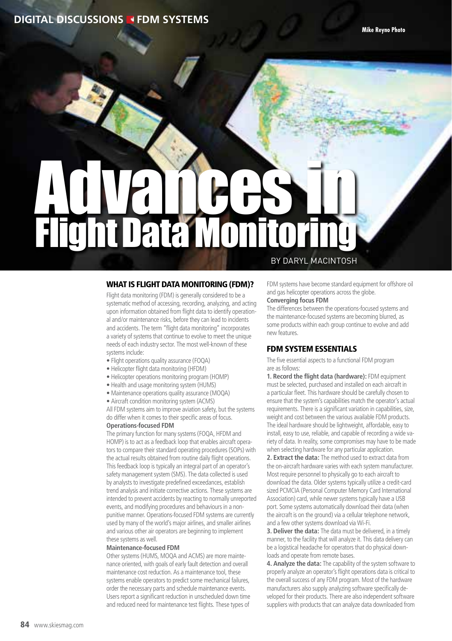# **DIGITAL DISCUSSIONS FDM SYSTEMS**

# Advances in **TRIFIT** by Daryl MacIntosh

#### WHAT IS FLIGHT DATA MONITORING (FDM)?

Flight data monitoring (FDM) is generally considered to be a systematic method of accessing, recording, analyzing, and acting upon information obtained from flight data to identify operational and/or maintenance risks, before they can lead to incidents and accidents. The term "flight data monitoring" incorporates a variety of systems that continue to evolve to meet the unique needs of each industry sector. The most well-known of these systems include:

- Flight operations quality assurance (FOQA)
- Helicopter flight data monitoring (HFDM)
- Helicopter operations monitoring program (HOMP)
- Health and usage monitoring system (HUMS)
- Maintenance operations quality assurance (MOQA)
- Aircraft condition monitoring system (ACMS)

All FDM systems aim to improve aviation safety, but the systems do differ when it comes to their specific areas of focus.

**Operations-focused FDM** 

The primary function for many systems (FOQA, HFDM and HOMP) is to act as a feedback loop that enables aircraft operators to compare their standard operating procedures (SOPs) with the actual results obtained from routine daily flight operations. This feedback loop is typically an integral part of an operator's safety management system (SMS). The data collected is used by analysts to investigate predefined exceedances, establish trend analysis and initiate corrective actions. These systems are intended to prevent accidents by reacting to normally unreported events, and modifying procedures and behaviours in a nonpunitive manner. Operations-focused FDM systems are currently used by many of the world's major airlines, and smaller airlines and various other air operators are beginning to implement these systems as well.

#### **Maintenance-focused FDM**

Other systems (HUMS, MOQA and ACMS) are more maintenance oriented, with goals of early fault detection and overall maintenance cost reduction. As a maintenance tool, these systems enable operators to predict some mechanical failures, order the necessary parts and schedule maintenance events. Users report a significant reduction in unscheduled down time and reduced need for maintenance test flights. These types of

FDM systems have become standard equipment for offshore oil and gas helicopter operations across the globe.

#### **Converging focus FDM**

The differences between the operations-focused systems and the maintenance-focused systems are becoming blurred, as some products within each group continue to evolve and add new features.

#### FDM SYSTEM ESSENTIALS

The five essential aspects to a functional FDM program are as follows:

**1. Record the flight data (hardware):** FDM equipment must be selected, purchased and installed on each aircraft in a particular fleet. This hardware should be carefully chosen to ensure that the system's capabilities match the operator's actual requirements. There is a significant variation in capabilities, size, weight and cost between the various available FDM products. The ideal hardware should be lightweight, affordable, easy to install, easy to use, reliable, and capable of recording a wide variety of data. In reality, some compromises may have to be made when selecting hardware for any particular application.

**2. Extract the data:** The method used to extract data from the on-aircraft hardware varies with each system manufacturer. Most require personnel to physically go to each aircraft to download the data. Older systems typically utilize a credit-card sized PCMCIA (Personal Computer Memory Card International Association) card, while newer systems typically have a USB port. Some systems automatically download their data (when the aircraft is on the ground) via a cellular telephone network, and a few other systems download via Wi-Fi.

**3. Deliver the data:** The data must be delivered, in a timely manner, to the facility that will analyze it. This data delivery can be a logistical headache for operators that do physical downloads and operate from remote bases.

**4. Analyze the data:** The capability of the system software to properly analyze an operator's flight operations data is critical to the overall success of any FDM program. Most of the hardware manufacturers also supply analyzing software specifically developed for their products. There are also independent software suppliers with products that can analyze data downloaded from